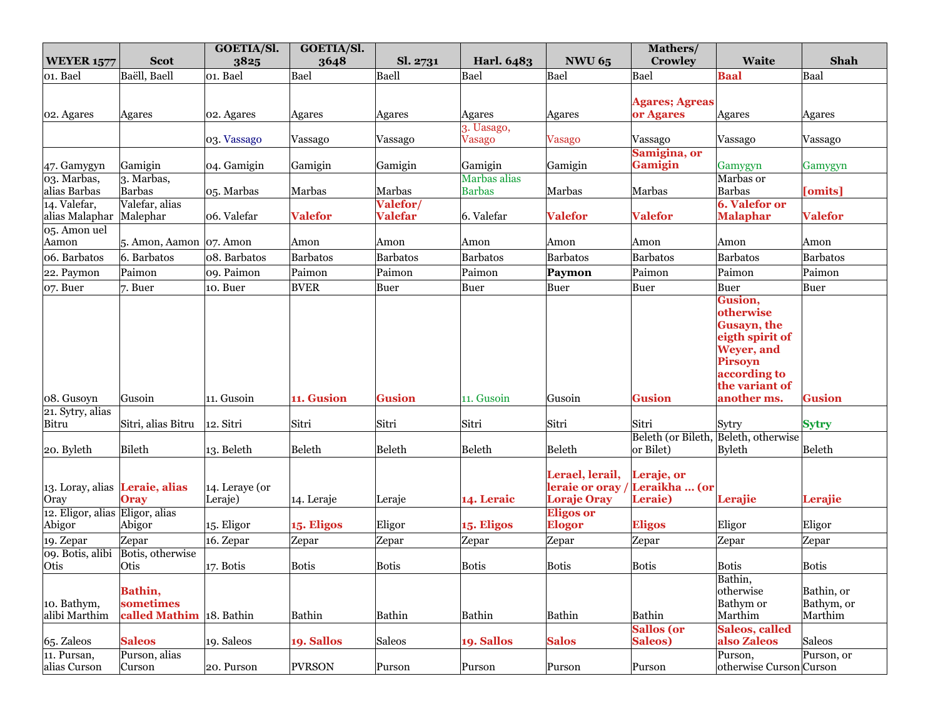|                                               |                             | GOETIA/Sl.     | GOETIA/Sl.     |                |                      |                                   | Mathers/                             |                         |                 |
|-----------------------------------------------|-----------------------------|----------------|----------------|----------------|----------------------|-----------------------------------|--------------------------------------|-------------------------|-----------------|
| <b>WEYER 1577</b>                             | <b>Scot</b>                 | 3825           | 3648           | Sl. 2731       | Harl. 6483           | <b>NWU 65</b>                     | <b>Crowley</b>                       | <b>Waite</b>            | Shah            |
| 01. Bael                                      | Baëll, Baell                | 01. Bael       | Bael           | Baell          | Bael                 | Bael                              | Bael                                 | <b>Baal</b>             | Baal            |
|                                               |                             |                |                |                |                      |                                   |                                      |                         |                 |
|                                               |                             |                |                |                |                      |                                   | <b>Agares; Agreas</b>                |                         |                 |
| 02. Agares                                    | Agares                      | 02. Agares     | Agares         | Agares         | Agares<br>3. Uasago, | Agares                            | or Agares                            | Agares                  | Agares          |
|                                               |                             | 03. Vassago    | Vassago        | Vassago        | <b>Vasago</b>        | <b>Vasago</b>                     | Vassago                              | Vassago                 | Vassago         |
|                                               |                             |                |                |                |                      |                                   | Samigina, or                         |                         |                 |
| 47. Gamygyn                                   | Gamigin                     | 04. Gamigin    | Gamigin        | Gamigin        | Gamigin              | Gamigin                           | <b>Gamigin</b>                       | Gamygyn                 | Gamygyn         |
| 03. Marbas,                                   | 3. Marbas,                  |                |                |                | Marbas alias         |                                   |                                      | Marbas or               |                 |
| alias Barbas                                  | <b>Barbas</b>               | 05. Marbas     | Marbas         | Marbas         | <b>Barbas</b>        | Marbas                            | Marbas                               | <b>Barbas</b>           | [omits]         |
| 14. Valefar,                                  | Valefar, alias              |                |                | Valefor/       |                      |                                   |                                      | <b>6. Valefor or</b>    |                 |
| alias Malaphar                                | Malephar                    | 06. Valefar    | <b>Valefor</b> | <b>Valefar</b> | 6. Valefar           | <b>Valefor</b>                    | <b>Valefor</b>                       | <b>Malaphar</b>         | <b>Valefor</b>  |
| 05. Amon uel<br>Aamon                         | 5. Amon, Aamon $ 07$ . Amon |                | Amon           | Amon           | Amon                 | Amon                              | Amon                                 | Amon                    | Amon            |
| 06. Barbatos                                  | 6. Barbatos                 |                |                | Barbatos       | <b>Barbatos</b>      | <b>Barbatos</b>                   | Barbatos                             | Barbatos                | <b>Barbatos</b> |
|                                               |                             | 08. Barbatos   | Barbatos       |                |                      |                                   |                                      |                         |                 |
| 22. Paymon                                    | Paimon                      | o9. Paimon     | Paimon         | Paimon         | Paimon               | Paymon                            | Paimon                               | Paimon                  | Paimon          |
| $ o7.$ Buer                                   | $7.$ Buer                   | 10. Buer       | <b>BVER</b>    | Buer           | Buer                 | Buer                              | Buer                                 | Buer                    | Buer            |
|                                               |                             |                |                |                |                      |                                   |                                      | Gusion,<br>otherwise    |                 |
|                                               |                             |                |                |                |                      |                                   |                                      | Gusayn, the             |                 |
|                                               |                             |                |                |                |                      |                                   |                                      | eigth spirit of         |                 |
|                                               |                             |                |                |                |                      |                                   |                                      | Weyer, and              |                 |
|                                               |                             |                |                |                |                      |                                   |                                      | Pirsoyn                 |                 |
|                                               |                             |                |                |                |                      |                                   |                                      | according to            |                 |
|                                               |                             |                |                |                |                      |                                   |                                      | the variant of          |                 |
| 08. Gusoyn                                    | Gusoin                      | 11. Gusoin     | 11. Gusion     | <b>Gusion</b>  | 11. Gusoin           | Gusoin                            | <b>Gusion</b>                        | another ms.             | <b>Gusion</b>   |
| 21. Sytry, alias                              |                             |                |                |                |                      |                                   |                                      |                         |                 |
| Bitru                                         | Sitri, alias Bitru          | 12. Sitri      | Sitri          | Sitri          | Sitri                | Sitri                             | Sitri                                | Sytry                   | <b>Sytry</b>    |
|                                               |                             |                |                |                |                      |                                   | Beleth (or Bileth, Beleth, otherwise |                         |                 |
| 20. Byleth                                    | Bileth                      | 13. Beleth     | Beleth         | Beleth         | Beleth               | Beleth                            | or Bilet)                            | <b>Byleth</b>           | Beleth          |
|                                               |                             |                |                |                |                      |                                   |                                      |                         |                 |
| $\vert$ 13. Loray, alias <b>Leraie, alias</b> |                             | 14. Leraye (or |                |                |                      | Lerael, lerail,<br>leraie or oray | Leraje, or<br>Leraikha  (or          |                         |                 |
| Oray                                          | <b>Oray</b>                 | Leraje)        | 14. Leraje     | Leraje         | 14. Leraic           | <b>Loraje Oray</b>                | Leraie)                              | Lerajie                 | Lerajie         |
| 12. Eligor, alias Eligor, alias               |                             |                |                |                |                      | <b>Eligos or</b>                  |                                      |                         |                 |
| Abigor                                        | Abigor                      | 15. Eligor     | 15. Eligos     | Eligor         | 15. Eligos           | <b>Elogor</b>                     | <b>Eligos</b>                        | Eligor                  | Eligor          |
| 19. Zepar                                     | Zepar                       | 16. Zepar      | Zepar          | Zepar          | Zepar                | Zepar                             | Zepar                                | Zepar                   | Zepar           |
| 09. Botis, alibi                              | Botis, otherwise            |                |                |                |                      |                                   |                                      |                         |                 |
| Otis                                          | Otis                        | 17. Botis      | Botis          | <b>Botis</b>   | <b>Botis</b>         | <b>Botis</b>                      | <b>Botis</b>                         | <b>Botis</b>            | <b>Botis</b>    |
|                                               |                             |                |                |                |                      |                                   |                                      | Bathin,                 |                 |
|                                               | Bathin,                     |                |                |                |                      |                                   |                                      | otherwise               | Bathin, or      |
| 10. Bathym,                                   | sometimes                   |                |                |                |                      |                                   |                                      | <b>Bathym</b> or        | Bathym, or      |
| alibi Marthim                                 | called Mathim 18. Bathin    |                | Bathin         | Bathin         | Bathin               | Bathin                            | Bathin                               | Marthim                 | Marthim         |
|                                               |                             |                |                |                |                      |                                   | Sallos (or                           | Saleos, called          |                 |
| $65.$ Zaleos                                  | <b>Saleos</b>               | 19. Saleos     | 19. Sallos     | Saleos         | 19. Sallos           | <b>Salos</b>                      | Saleos)                              | also Zaleos             | Saleos          |
| 11. Pursan,                                   | Purson, alias               |                |                |                |                      |                                   |                                      | Purson,                 | Purson, or      |
| alias Curson                                  | Curson                      | 20. Purson     | <b>PVRSON</b>  | Purson         | Purson               | Purson                            | Purson                               | otherwise Curson Curson |                 |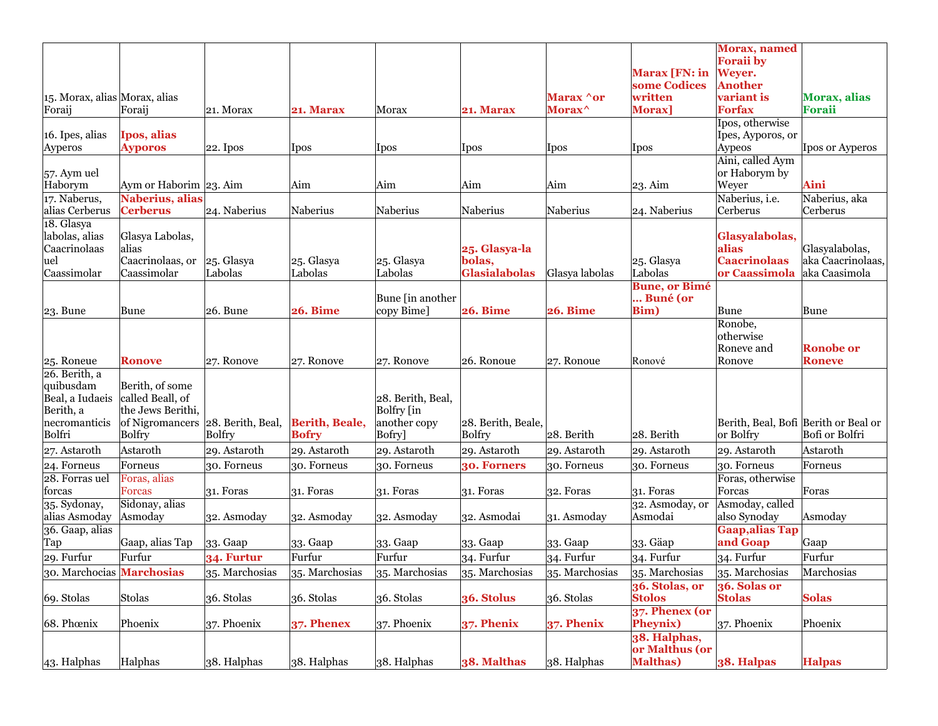|                               |                                       |                   |                       |                                 |                      |                    |                      | <b>Morax</b> , named                 |                     |
|-------------------------------|---------------------------------------|-------------------|-----------------------|---------------------------------|----------------------|--------------------|----------------------|--------------------------------------|---------------------|
|                               |                                       |                   |                       |                                 |                      |                    |                      | <b>Foraii</b> by                     |                     |
|                               |                                       |                   |                       |                                 |                      |                    | Marax [FN: in        | Weyer.                               |                     |
|                               |                                       |                   |                       |                                 |                      |                    | some Codices         | <b>Another</b>                       |                     |
| 15. Morax, alias Morax, alias |                                       |                   |                       |                                 |                      | Marax <b>^or</b>   | written              | variant is                           | <b>Morax, alias</b> |
| Foraij                        | Foraij                                | 21. Morax         | 21. Marax             | Morax                           | 21. Marax            | Morax <sup>^</sup> | Morax]               | <b>Forfax</b>                        | Foraii              |
|                               |                                       |                   |                       |                                 |                      |                    |                      | Ipos, otherwise                      |                     |
| 16. Ipes, alias               | Ipos, alias                           |                   |                       |                                 |                      |                    |                      | Ipes, Ayporos, or                    |                     |
| Ayperos                       | <b>Ayporos</b>                        | $ 22.$ Ipos       | [Ipos                 | Ipos                            | Ipos                 | Ipos               | Ipos                 | Aypeos                               | Ipos or Ayperos     |
| $57.$ Aym uel                 |                                       |                   |                       |                                 |                      |                    |                      | Aini, called Aym<br>or Haborym by    |                     |
| Haborym                       | Aym or Haborim 23. Aim                |                   | Aim                   | Aim                             | Aim                  | Aim                | 23. Aim              | Weyer                                | Aini                |
| 17. Naberus,                  | Naberius, alias                       |                   |                       |                                 |                      |                    |                      | Naberius, i.e.                       | Naberius, aka       |
| alias Cerberus                | <b>Cerberus</b>                       | 24. Naberius      | Naberius              | Naberius                        | Naberius             | Naberius           | 24. Naberius         | Cerberus                             | Cerberus            |
| 18. Glasya                    |                                       |                   |                       |                                 |                      |                    |                      |                                      |                     |
| labolas, alias                | Glasya Labolas,                       |                   |                       |                                 |                      |                    |                      | Glasyalabolas,                       |                     |
| Caacrinolaas                  | alias                                 |                   |                       |                                 | 25. Glasya-la        |                    |                      | alias                                | Glasyalabolas,      |
| uel                           | Caacrinolaas, or                      | $25.$ Glasya      | 25. Glasya            | 25. Glasya                      | bolas,               |                    | 25. Glasya           | <b>Caacrinolaas</b>                  | aka Caacrinolaas,   |
| Caassimolar                   | Caassimolar                           | Labolas           | Labolas               | Labolas                         | <b>Glasialabolas</b> | Glasya labolas     | Labolas              | or Caassimola                        | aka Caasimola       |
|                               |                                       |                   |                       |                                 |                      |                    | <b>Bune, or Bimé</b> |                                      |                     |
|                               |                                       |                   |                       | Bune [in another                |                      |                    | Buné (or             |                                      |                     |
| $ 23.$ Bune                   | Bune                                  | $26.$ Bune        | <b>26. Bime</b>       | copy Bime]                      | <b>26. Bime</b>      | <b>26. Bime</b>    | <b>Bim</b> )         | Bune                                 | Bune                |
|                               |                                       |                   |                       |                                 |                      |                    |                      | Ronobe,                              |                     |
|                               |                                       |                   |                       |                                 |                      |                    |                      | otherwise                            |                     |
|                               |                                       |                   |                       |                                 |                      |                    |                      | Roneve and                           | <b>Ronobe or</b>    |
| 25. Roneue                    | <b>Ronove</b>                         | 27. Ronove        | 27. Ronove            | 27. Ronove                      | 26. Ronoue           | 27. Ronoue         | Ronové               | Ronove                               | <b>Roneve</b>       |
| 26. Berith, a                 |                                       |                   |                       |                                 |                      |                    |                      |                                      |                     |
| quibusdam                     | Berith, of some                       |                   |                       |                                 |                      |                    |                      |                                      |                     |
| Beal, a Iudaeis<br>Berith, a  | called Beall, of<br>the Jews Berithi, |                   |                       | 28. Berith, Beal,<br>Bolfry [in |                      |                    |                      |                                      |                     |
| necromanticis                 | of Nigromancers                       | 28. Berith, Beal, | <b>Berith, Beale,</b> | another copy                    | 28. Berith, Beale,   |                    |                      | Berith, Beal, Bofi Berith or Beal or |                     |
| Bolfri                        | <b>Bolfry</b>                         | <b>Bolfry</b>     | <b>Bofry</b>          | Bofry]                          | <b>Bolfry</b>        | 28. Berith         | 28. Berith           | or Bolfry                            | Bofi or Bolfri      |
| 27. Astaroth                  | Astaroth                              | 29. Astaroth      | 29. Astaroth          | 29. Astaroth                    | 29. Astaroth         | 29. Astaroth       | 29. Astaroth         | 29. Astaroth                         | Astaroth            |
| 24. Forneus                   | Forneus                               | 30. Forneus       | 30. Forneus           | 30. Forneus                     | 30. Forners          | 30. Forneus        | 30. Forneus          | 30. Forneus                          | Forneus             |
| 28. Forras uel                | Foras, alias                          |                   |                       |                                 |                      |                    |                      | Foras, otherwise                     |                     |
| forcas                        | <b>Forcas</b>                         | $31.$ Foras       | $31.$ Foras           | 31. Foras                       | $31.$ Foras          | $32.$ Foras        | $31.$ Foras          | Forcas                               | Foras               |
| 35. Sydonay,                  | Sidonay, alias                        |                   |                       |                                 |                      |                    | 32. Asmoday, or      | Asmoday, called                      |                     |
| alias Asmoday                 | Asmoday                               | 32. Asmoday       | 32. Asmoday           | 32. Asmoday                     | 32. Asmodai          | 31. Asmoday        | Asmodai              | also Synoday                         | Asmoday             |
| 36. Gaap, alias               |                                       |                   |                       |                                 |                      |                    |                      | <b>Gaap, alias Tap</b>               |                     |
| Tap                           | Gaap, alias Tap                       | 33. Gaap          | 33. Gaap              | 33. Gaap                        | 33. Gaap             | 33. Gaap           | 33. Gäap             | and Goap                             | Gaap                |
| $29.$ Furfur                  | Furfur                                | <b>34. Furtur</b> | Furfur                | Furfur                          | $34.$ Furfur         | $34.$ Furfur       | $34.$ Furfur         | 34. Furfur                           | Furfur              |
| 30. Marchocias Marchosias     |                                       | 35. Marchosias    | 35. Marchosias        | 35. Marchosias                  | 35. Marchosias       | 35. Marchosias     | 35. Marchosias       | 35. Marchosias                       | Marchosias          |
|                               |                                       |                   |                       |                                 |                      |                    | 36. Stolas, or       | 36. Solas or                         |                     |
| 69. Stolas                    | Stolas                                | 36. Stolas        | 36. Stolas            | 36. Stolas                      | 36. Stolus           | 36. Stolas         | <b>Stolos</b>        | <b>Stolas</b>                        | <b>Solas</b>        |
|                               |                                       |                   |                       |                                 |                      |                    | $37.$ Phenex (or     |                                      |                     |
| 68. Phœnix                    | Phoenix                               | 37. Phoenix       | 37. Phenex            | $37.$ Phoenix                   | 37. Phenix           | 37. Phenix         | <b>Pheynix</b> )     | 37. Phoenix                          | Phoenix             |
|                               |                                       |                   |                       |                                 |                      |                    | 38. Halphas,         |                                      |                     |
|                               |                                       |                   |                       |                                 |                      |                    | or Malthus (or       |                                      |                     |
| $ 43.$ Halphas                | Halphas                               | 38. Halphas       | 38. Halphas           | 38. Halphas                     | 38. Malthas          | 38. Halphas        | <b>Malthas</b> )     | 38. Halpas                           | <b>Halpas</b>       |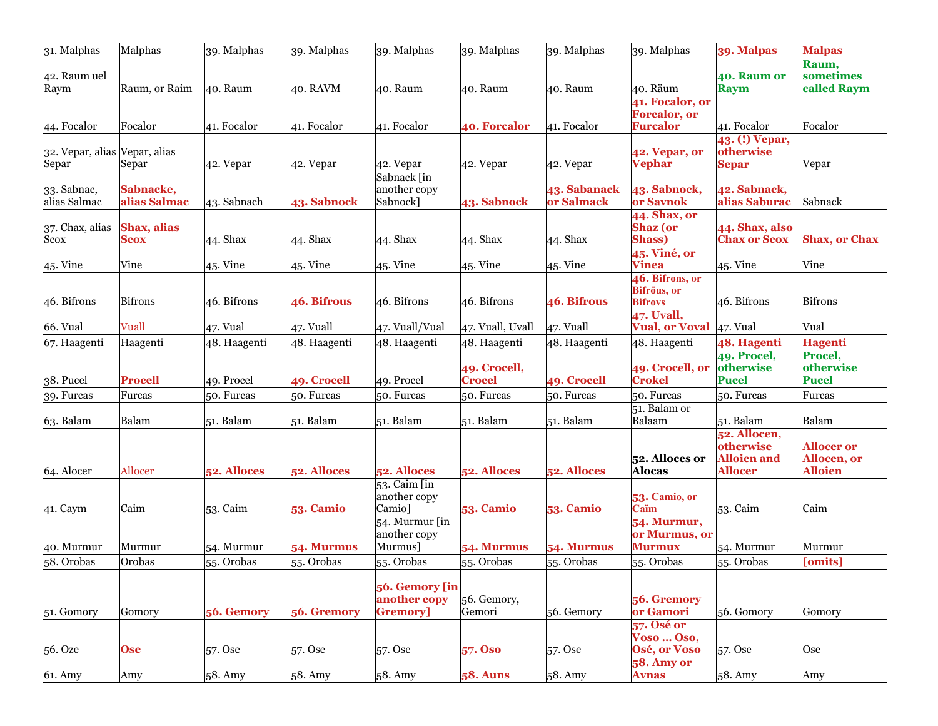| 31. Malphas                   | Malphas        | 39. Malphas  | 39. Malphas      | 39. Malphas                  | 39. Malphas      | 39. Malphas      | 39. Malphas                             | 39. Malpas                  | <b>Malpas</b>        |
|-------------------------------|----------------|--------------|------------------|------------------------------|------------------|------------------|-----------------------------------------|-----------------------------|----------------------|
|                               |                |              |                  |                              |                  |                  |                                         |                             | Raum,                |
| 42. Raum uel                  |                |              |                  |                              |                  |                  |                                         | 40. Raum or                 | sometimes            |
| Raym                          | Raum, or Raim  | 40. Raum     | 40. RAVM         | 40. Raum                     | 40. Raum         | 40. Raum         | 40. Räum                                | Raym                        | called Raym          |
|                               |                |              |                  |                              |                  |                  | 41. Focalor, or                         |                             |                      |
|                               | Focalor        |              |                  |                              |                  |                  | <b>Forcalor</b> , or<br><b>Furcalor</b> |                             | Focalor              |
| 44. Focalor                   |                | 41. Focalor  | 41. Focalor      | $ 41.$ Focalor               | 40. Forcalor     | $41.$ Focalor    |                                         | 41. Focalor                 |                      |
| 32. Vepar, alias Vepar, alias |                |              |                  |                              |                  |                  | 42. Vepar, or                           | 43. (!) Vepar,<br>otherwise |                      |
| Separ                         | Separ          | 42. Vepar    | $ 42.$ Vepar     | $ 42.$ Vepar                 | $ 42.$ Vepar     | $ 42.$ Vepar     | <b>Vephar</b>                           | <b>Separ</b>                | Vepar                |
|                               |                |              |                  | Sabnack [in]                 |                  |                  |                                         |                             |                      |
| 33. Sabnac,                   | Sabnacke,      |              |                  | another copy                 |                  | 43. Sabanack     | <b>43. Sabnock,</b>                     | 42. Sabnack,                |                      |
| alias Salmac                  | alias Salmac   | 43. Sabnach  | 43. Sabnock      | Sabnock]                     | 43. Sabnock      | or Salmack       | or Savnok                               | alias Saburac               | Sabnack              |
|                               |                |              |                  |                              |                  |                  | 44. Shax, or                            |                             |                      |
| 37. Chax, alias               | Shax, alias    |              |                  |                              |                  |                  | <b>Shaz</b> (or                         | 44. Shax, also              |                      |
| <b>Scox</b>                   | <b>Scox</b>    | $44.$ Shax   | $44.$ Shax       | $44.$ Shax                   | $44.$ Shax       | $44.$ Shax       | Shass)                                  | <b>Chax or Scox</b>         | <b>Shax, or Chax</b> |
|                               |                |              |                  |                              |                  |                  | 45. Viné, or                            |                             |                      |
| $45.$ Vine                    | Vine           | $45.$ Vine   | $45.$ Vine       | $45.$ Vine                   | $45.$ Vine       | $45.$ Vine       | <b>Vinea</b>                            | $45.$ Vine                  | Vine                 |
|                               |                |              |                  |                              |                  |                  | 46. Bifrons, or                         |                             |                      |
|                               |                |              |                  |                              |                  |                  | <b>Bifröus</b> , or                     |                             |                      |
| $46.$ Bifrons                 | Bifrons        | 46. Bifrons  | 46. Bifrous      | 46. Bifrons                  | $46.$ Bifrons    | 46. Bifrous      | <b>Bifrovs</b>                          | 46. Bifrons                 | Bifrons              |
|                               |                |              |                  |                              |                  |                  | 47. Uvall,                              |                             |                      |
| $ 66.$ Vual                   | Vuall          | $47.$ Vual   | $47.$ Vuall      | 47. Vuall/Vual               | 47. Vuall, Uvall | $47.$ Vuall      | <b>Vual, or Voval</b> $ 47$ . Vual      |                             | Vual                 |
| $ 67.$ Haagenti               | Haagenti       | 48. Haagenti | 48. Haagenti     | 48. Haagenti                 | 48. Haagenti     | 48. Haagenti     | 48. Haagenti                            | 48. Hagenti                 | <b>Hagenti</b>       |
|                               |                |              |                  |                              |                  |                  |                                         | 49. Procel,                 | Procel,              |
|                               |                |              |                  |                              | 49. Crocell,     |                  | 49. Crocell, or                         | otherwise                   | otherwise            |
| $38.$ Pucel                   | <b>Procell</b> | 49. Procel   | 49. Crocell      | 49. Procel                   | <b>Crocel</b>    | 49. Crocell      | <b>Crokel</b>                           | <b>Pucel</b>                | <b>Pucel</b>         |
| $39.$ Furcas                  | Furcas         | 50. Furcas   | 50. Furcas       | 50. Furcas                   | 50. Furcas       | 50. Furcas       | $50.$ Furcas                            | 50. Furcas                  | Furcas               |
|                               |                |              |                  |                              |                  |                  | $51.$ Balam or                          |                             |                      |
| $63.$ Balam                   | Balam          | $51.$ Balam  | $51.$ Balam      | $51.$ Balam                  | $51.$ Balam      | $51.$ Balam      | Balaam                                  | $51.$ Balam                 | Balam                |
|                               |                |              |                  |                              |                  |                  |                                         | 52. Allocen,<br>otherwise   | <b>Allocer or</b>    |
|                               |                |              |                  |                              |                  |                  | 52. Alloces or                          | <b>Alloien and</b>          | Allocen, or          |
| $64.$ Alocer                  | <b>Allocer</b> | 52. Alloces  | 52. Alloces      | 52. Alloces                  | 52. Alloces      | 52. Alloces      | Alocas                                  | <b>Allocer</b>              | <b>Alloien</b>       |
|                               |                |              |                  | $53.$ Caim $\overline{[}$ in |                  |                  |                                         |                             |                      |
|                               |                |              |                  | another copy                 |                  |                  | 53. Camio, or                           |                             |                      |
| $41.$ Caym                    | Caim           | 53. Caim     | <b>53. Camio</b> | Camio]                       | 53. Camio        | <b>53. Camio</b> | Caïm                                    | $53$ . Caim                 | Caim                 |
|                               |                |              |                  | $54.$ Murmur [in             |                  |                  | <b>54. Murmur,</b>                      |                             |                      |
|                               |                |              |                  | another copy                 |                  |                  | or Murmus, or                           |                             |                      |
| 40. Murmur                    | Murmur         | $54.$ Murmur | 54. Murmus       | Murmus]                      | 54. Murmus       | 54. Murmus       | <b>Murmux</b>                           | $54.$ Murmur                | Murmur               |
| 58. Orobas                    | Orobas         | 55. Orobas   | 55. Orobas       | 55. Orobas                   | 55. Orobas       | 55. Orobas       | 55. Orobas                              | 55. Orobas                  | [omits]              |
|                               |                |              |                  |                              |                  |                  |                                         |                             |                      |
|                               |                |              |                  | 56. Gemory [in               |                  |                  |                                         |                             |                      |
|                               |                |              |                  | another copy                 | 56. Gemory,      |                  | 56. Gremory                             |                             |                      |
| $51.$ Gomory                  | Gomory         | 56. Gemory   | 56. Gremory      | Gremory]                     | Gemori           | 56. Gemory       | or Gamori                               | $56.$ Gomory                | Gomory               |
|                               |                |              |                  |                              |                  |                  | <b>57. Osé or</b>                       |                             |                      |
|                               |                |              |                  |                              |                  |                  | <b>Voso  Oso,</b>                       |                             |                      |
| 56. Oze                       | Ose            | 57. Ose      | 57. Ose          | 57. Ose                      | <b>57. Oso</b>   | 57. Ose          | Osé, or Voso                            | 57. Ose                     | Ose                  |
|                               |                |              |                  |                              |                  |                  | <b>58. Amy or</b>                       |                             |                      |
| $61.$ Amy                     | Amy            | $58.$ Amy    | $58.$ Amy        | $58.$ Amy                    | <b>58. Auns</b>  | $58.$ Amy        | <b>Avnas</b>                            | $58.$ Amy                   | Amy                  |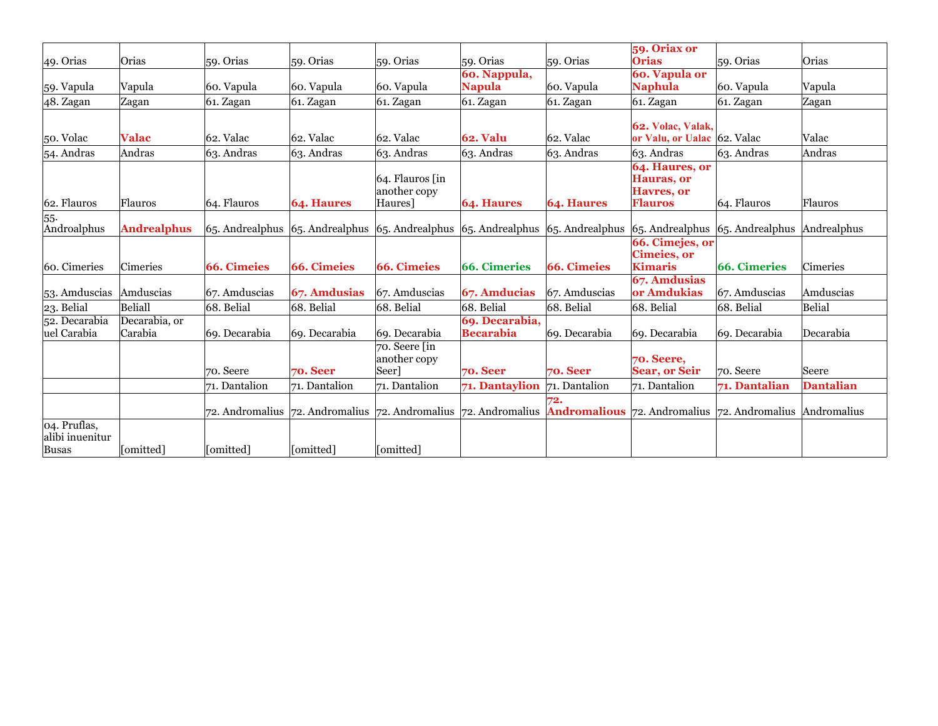| 49. Orias                       | Orias                    | 59. Orias          | 59. Orias         | 59. Orias                                                                                                                       | 59. Orias                          | 59. Orias          | 59. Oriax or<br><b>Orias</b>                                         | $59.$ Orias         | Orias            |
|---------------------------------|--------------------------|--------------------|-------------------|---------------------------------------------------------------------------------------------------------------------------------|------------------------------------|--------------------|----------------------------------------------------------------------|---------------------|------------------|
|                                 |                          |                    |                   |                                                                                                                                 | 60. Nappula,                       |                    | <b>60. Vapula or</b>                                                 |                     |                  |
| 59. Vapula                      | Vapula                   | 60. Vapula         | 60. Vapula        | 60. Vapula                                                                                                                      | <b>Napula</b>                      | 60. Vapula         | <b>Naphula</b>                                                       | 60. Vapula          | Vapula           |
| 48. Zagan                       | Zagan                    | 61. Zagan          | $61.$ Zagan       | 61. Zagan                                                                                                                       | 61. Zagan                          | $61.$ Zagan        | $61.$ Zagan                                                          | $61.$ Zagan         | Zagan            |
| 50. Volac                       | <b>Valac</b>             | 62. Valac          | 62. Valac         | $ 62.$ Valac                                                                                                                    | <b>62. Valu</b>                    | 62. Valac          | <b>62. Volac, Valak,</b><br>or Valu, or Ualac 62. Valac              |                     | Valac            |
| 54. Andras                      | Andras                   | 63. Andras         | 63. Andras        | $63.$ Andras                                                                                                                    | $63.$ Andras                       | $63.$ Andras       | $63.$ Andras                                                         | $63.$ Andras        | Andras           |
| 62. Flauros                     | Flauros                  | 64. Flauros        | <b>64. Haures</b> | $64.$ Flauros $\int$ in<br>another copy<br>Haures <sup>1</sup>                                                                  | <b>64. Haures</b>                  | <b>64. Haures</b>  | 64. Haures, or<br><b>Hauras</b> , or<br>Havres, or<br><b>Flauros</b> | 64. Flauros         | Flauros          |
| 55.<br>Androalphus              | <b>Andrealphus</b>       |                    |                   | $\vert$ 65. Andrealphus $\vert$ 65. Andrealphus $\vert$ 65. Andrealphus $\vert$ 65. Andrealphus $\vert$ 65. Andrealphus         |                                    |                    | $\vert$ 65. Andrealphus $\vert$ 65. Andrealphus $\vert$ Andrealphus  |                     |                  |
| 60. Cimeries                    | Cimeries                 | <b>66. Cimeies</b> | 66. Cimeies       | 66. Cimeies                                                                                                                     | <b>66. Cimeries</b>                | <b>66. Cimeies</b> | 66. Cimejes, or<br><b>Cimeies</b> , or<br><b>Kimaris</b>             | <b>66. Cimeries</b> | Cimeries         |
| 53. Amduscias                   | Amduscias                | 67. Amduscias      | 67. Amdusias      | $67.$ Amduscias                                                                                                                 | 67. Amducias                       | 67. Amduscias      | 67. Amdusias<br>or Amdukias                                          | 67. Amduscias       | Amduscias        |
| 23. Belial                      | Beliall                  | 68. Belial         | 68. Belial        | 68. Belial                                                                                                                      | 68. Belial                         | 68. Belial         | 68. Belial                                                           | 68. Belial          | Belial           |
| 52. Decarabia<br>uel Carabia    | Decarabia, or<br>Carabia | 69. Decarabia      | 69. Decarabia     | 69. Decarabia                                                                                                                   | 69. Decarabia,<br><b>Becarabia</b> | 69. Decarabia      | 69. Decarabia                                                        | 69. Decarabia       | Decarabia        |
|                                 |                          | 70. Seere          | $70.$ Seer        | $\sqrt{70}$ . Seere $\sqrt{1}$<br>another copy<br> Seer]                                                                        | $70.$ Seer                         | <b>70. Seer</b>    | <b>70. Seere,</b><br><b>Sear, or Seir</b>                            | 70. Seere           | Seere            |
|                                 |                          | 71. Dantalion      | 71. Dantalion     | 71. Dantalion                                                                                                                   | 71. Dantaylion                     | 71. Dantalion      | 71. Dantalion                                                        | 71. Dantalian       | <b>Dantalian</b> |
|                                 |                          |                    |                   | 72. Andromalius 72. Andromalius 72. Andromalius 72. Andromalius <b>Andromalious</b> 72. Andromalius 72. Andromalius Andromalius |                                    |                    |                                                                      |                     |                  |
| 04. Pruflas,<br>alibi inuenitur |                          |                    |                   |                                                                                                                                 |                                    |                    |                                                                      |                     |                  |
| Busas                           | [omitted]                | [omitted]          | omitted 1         | [omitted]                                                                                                                       |                                    |                    |                                                                      |                     |                  |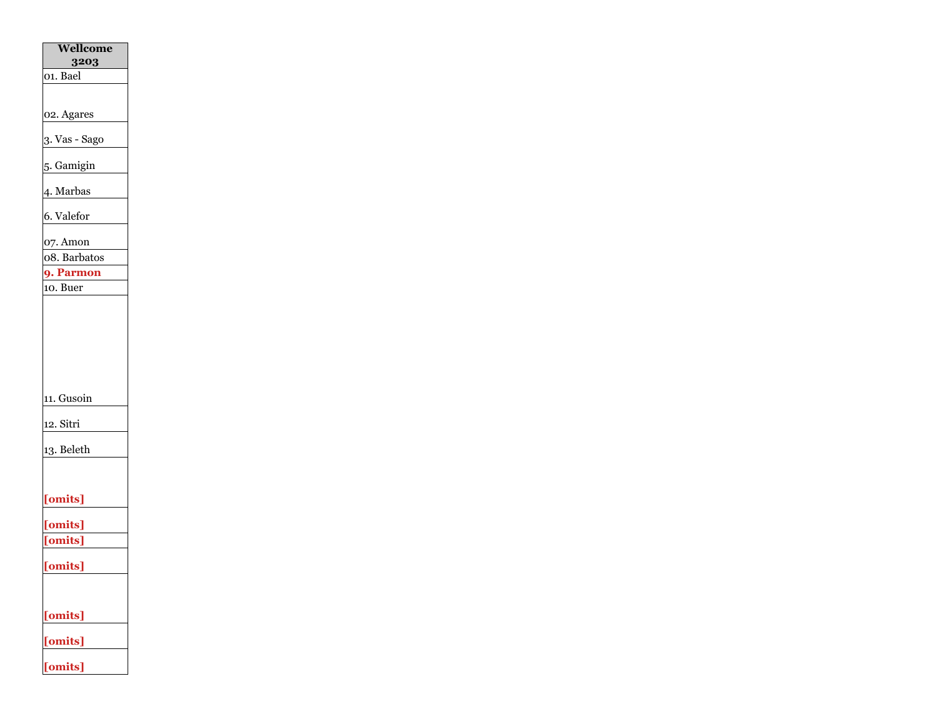| Wellcome<br>3203      |
|-----------------------|
| 01. Bael              |
|                       |
| 02. Agares            |
| 3. Vas - Sago         |
| 5. Gamigin            |
| 4. Marbas             |
| 6. Valefor            |
| $07.$ Amon            |
| 08. Barbatos          |
| 9. Parmon<br>10. Buer |
| 11. Gusoin            |
| 12. Sitri             |
| 13. Beleth            |
| [omits]               |
| [omits]               |
| [omits]               |
| [omits]               |
| [omits]               |
| [omits]               |
| [omits]               |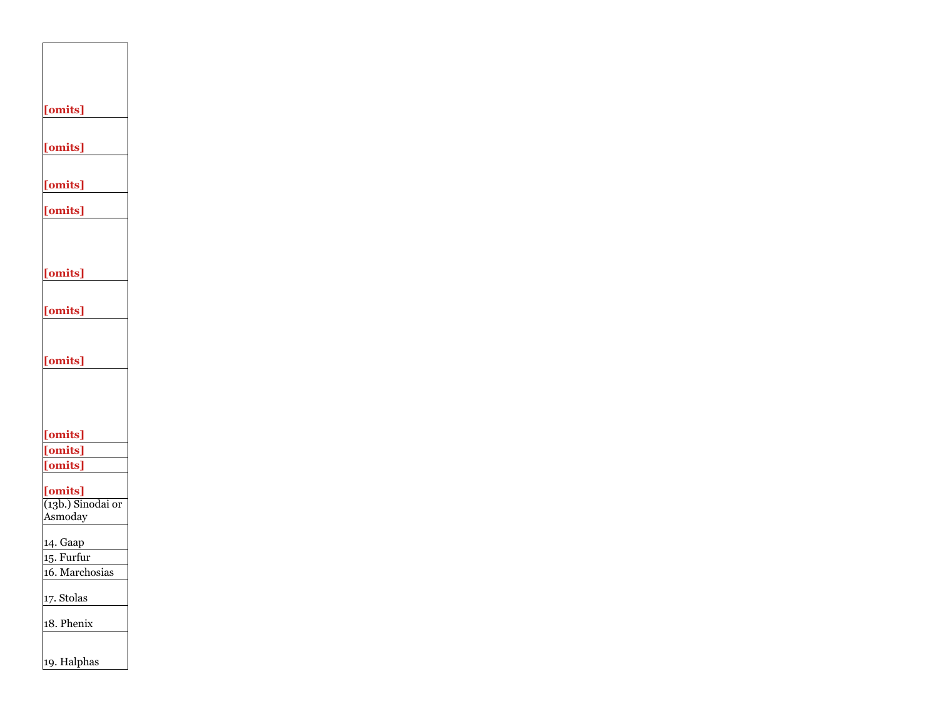| [omits]             |  |
|---------------------|--|
|                     |  |
| [omits]             |  |
|                     |  |
|                     |  |
| [omits]             |  |
| [omits]             |  |
|                     |  |
|                     |  |
|                     |  |
| [omits]             |  |
|                     |  |
| [omits]             |  |
|                     |  |
|                     |  |
| [omits]             |  |
|                     |  |
|                     |  |
|                     |  |
| [omits]             |  |
| [omits]             |  |
| [omits]             |  |
| [omits]             |  |
| $(13b.)$ Sinodai or |  |
| Asmoday             |  |
| 14. Gaap            |  |
| 15. Furfur          |  |
| 16. Marchosias      |  |
|                     |  |
| 17. Stolas          |  |
| 18. Phenix          |  |
|                     |  |
| 19. Halphas         |  |
|                     |  |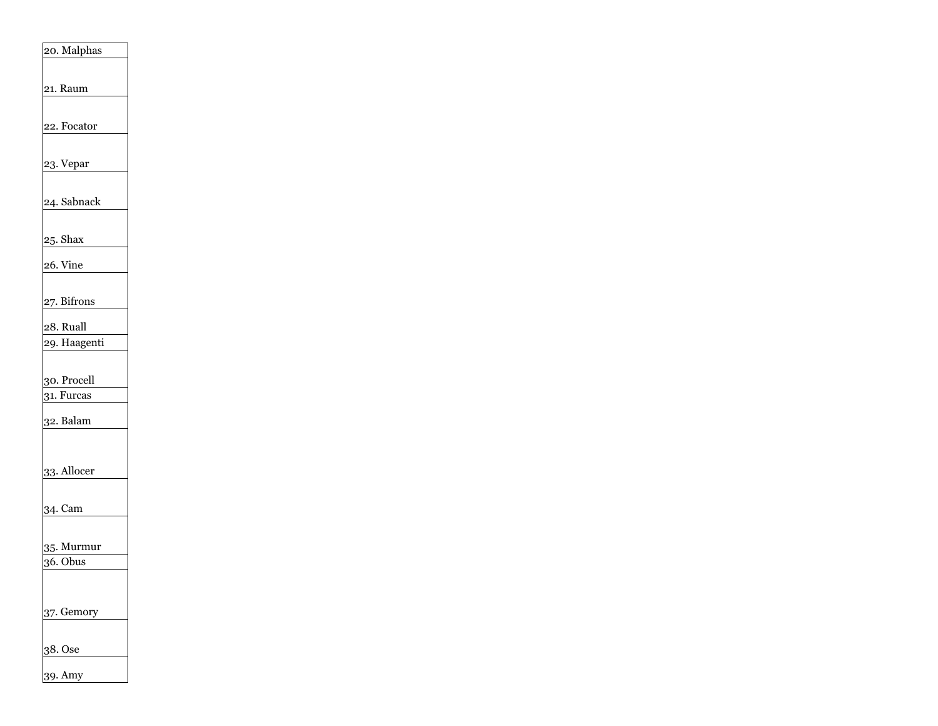| 20. Malphas                 |
|-----------------------------|
| 21. Raum                    |
|                             |
| 22. Focator                 |
| 23. Vepar                   |
|                             |
| 24. Sabnack                 |
| $25.$ Shax                  |
| $26.$ Vine                  |
|                             |
| 27. Bifrons                 |
| $28.$ Ruall<br>29. Haagenti |
|                             |
| 30. Procell<br>31. Furcas   |
| 32. Balam                   |
|                             |
| 33. Allocer                 |
|                             |
| 34. Cam                     |
| 35. Murmur                  |
| 36. Obus                    |
|                             |
| $37.$ Gemory                |
| 38. Ose                     |
| 39. Amy                     |